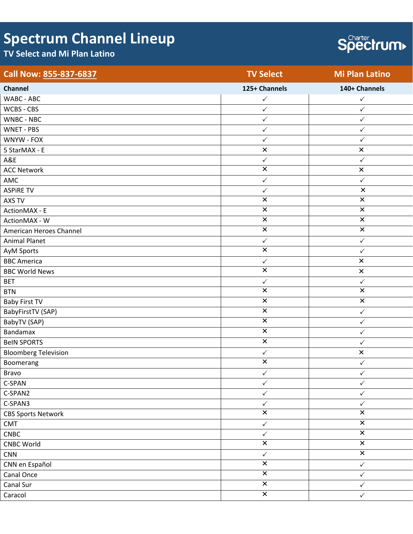## **Spectrum Channel Lineup**

## **TV Select and Mi Plan Latino**



| Call Now: 855-837-6837      | <b>TV Select</b>        | <b>Mi Plan Latino</b>   |
|-----------------------------|-------------------------|-------------------------|
| Channel                     | 125+ Channels           | 140+ Channels           |
| WABC - ABC                  | $\checkmark$            | $\checkmark$            |
| WCBS - CBS                  | $\checkmark$            | $\checkmark$            |
| WNBC - NBC                  | $\checkmark$            | $\checkmark$            |
| WNET - PBS                  | $\checkmark$            | $\checkmark$            |
| WNYW - FOX                  | $\checkmark$            | $\checkmark$            |
| 5 StarMAX - E               | $\pmb{\times}$          | $\pmb{\times}$          |
| A&E                         | $\checkmark$            | $\checkmark$            |
| <b>ACC Network</b>          | $\overline{\mathsf{x}}$ | $\pmb{\times}$          |
| AMC                         | $\checkmark$            | $\checkmark$            |
| <b>ASPIRE TV</b>            | $\checkmark$            | $\pmb{\times}$          |
| AXS TV                      | $\overline{\mathsf{x}}$ | $\overline{\mathbf{x}}$ |
| ActionMAX - E               | $\pmb{\times}$          | $\pmb{\times}$          |
| ActionMAX - W               | $\overline{\mathsf{x}}$ | $\overline{\mathsf{x}}$ |
| American Heroes Channel     | $\overline{\mathsf{x}}$ | $\overline{\mathsf{x}}$ |
| <b>Animal Planet</b>        | $\checkmark$            | $\checkmark$            |
| AyM Sports                  | $\overline{\mathsf{x}}$ | $\checkmark$            |
| <b>BBC</b> America          | $\checkmark$            | $\pmb{\times}$          |
| <b>BBC World News</b>       | $\overline{\mathbf{x}}$ | $\pmb{\times}$          |
| <b>BET</b>                  | $\checkmark$            | $\checkmark$            |
| <b>BTN</b>                  | $\overline{\mathsf{x}}$ | $\overline{\mathbf{x}}$ |
| <b>Baby First TV</b>        | $\pmb{\times}$          | $\pmb{\times}$          |
| BabyFirstTV (SAP)           | $\overline{\mathsf{x}}$ | $\checkmark$            |
| BabyTV (SAP)                | $\overline{\mathsf{x}}$ | $\checkmark$            |
| Bandamax                    | $\overline{\mathsf{x}}$ | $\checkmark$            |
| <b>BeIN SPORTS</b>          | $\overline{\mathbf{x}}$ | $\checkmark$            |
| <b>Bloomberg Television</b> | $\checkmark$            | $\pmb{\times}$          |
| Boomerang                   | $\overline{\mathsf{x}}$ | $\checkmark$            |
| Bravo                       | $\checkmark$            | $\checkmark$            |
| C-SPAN                      | $\checkmark$            | $\checkmark$            |
| C-SPAN2                     | ✓                       | ✓                       |
| C-SPAN3                     | $\checkmark$            | $\checkmark$            |
| <b>CBS Sports Network</b>   | $\overline{\mathbf{x}}$ | $\overline{\mathbf{x}}$ |
| CMT                         | $\checkmark$            | $\overline{\mathbf{x}}$ |
| <b>CNBC</b>                 | $\checkmark$            | $\overline{\mathbf{x}}$ |
| <b>CNBC World</b>           | $\overline{\mathsf{x}}$ | $\overline{\mathsf{x}}$ |
| <b>CNN</b>                  | $\checkmark$            | $\overline{\mathbf{x}}$ |
| CNN en Español              | $\overline{\mathsf{x}}$ | $\checkmark$            |
| Canal Once                  | $\overline{\mathbf{x}}$ | $\checkmark$            |
| Canal Sur                   | $\overline{\mathsf{x}}$ | $\checkmark$            |
| Caracol                     | $\overline{\mathbf{x}}$ | $\checkmark$            |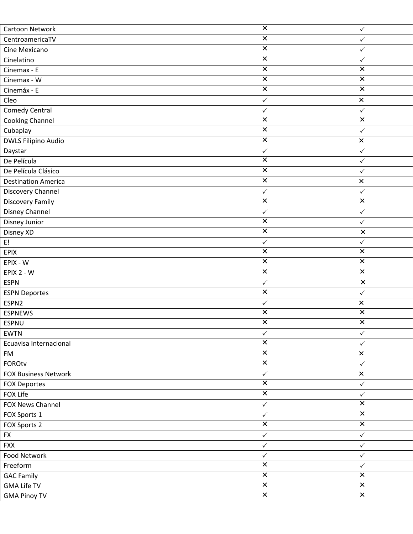| Cartoon Network             | $\overline{\mathsf{x}}$ | $\checkmark$            |
|-----------------------------|-------------------------|-------------------------|
| CentroamericaTV             | $\overline{\mathsf{x}}$ | $\checkmark$            |
| Cine Mexicano               | $\pmb{\times}$          | $\checkmark$            |
| Cinelatino                  | $\overline{\mathsf{x}}$ | $\checkmark$            |
| Cinemax - E                 | $\overline{\mathsf{x}}$ | $\overline{\mathsf{x}}$ |
| Cinemax - W                 | $\overline{\mathsf{x}}$ | $\overline{\mathsf{x}}$ |
| Cinemáx - E                 | $\pmb{\times}$          | $\pmb{\times}$          |
| Cleo                        | $\checkmark$            | $\pmb{\times}$          |
| <b>Comedy Central</b>       | $\checkmark$            | $\checkmark$            |
| <b>Cooking Channel</b>      | $\overline{\mathsf{x}}$ | $\overline{\mathsf{x}}$ |
| Cubaplay                    | $\overline{\mathsf{x}}$ | $\checkmark$            |
| DWLS Filipino Audio         | $\overline{\mathsf{x}}$ | $\pmb{\times}$          |
| Daystar                     | $\checkmark$            | $\checkmark$            |
| De Película                 | $\overline{\mathsf{x}}$ | $\checkmark$            |
| De Película Clásico         | $\overline{\mathbf{x}}$ | $\checkmark$            |
| <b>Destination America</b>  | $\overline{\mathsf{x}}$ | $\pmb{\times}$          |
| Discovery Channel           | $\checkmark$            | $\checkmark$            |
| <b>Discovery Family</b>     | $\overline{\mathsf{x}}$ | $\overline{\mathbf{x}}$ |
| Disney Channel              | $\checkmark$            | $\checkmark$            |
| Disney Junior               | $\overline{\mathsf{x}}$ | ✓                       |
| Disney XD                   | $\pmb{\times}$          | $\pmb{\times}$          |
| E!                          | $\checkmark$            | $\checkmark$            |
| <b>EPIX</b>                 | $\pmb{\times}$          | $\pmb{\times}$          |
| EPIX - W                    | $\overline{\mathbf{x}}$ | $\overline{\mathbf{x}}$ |
| EPIX 2 - W                  | $\overline{\mathbf{x}}$ | $\overline{\mathsf{x}}$ |
| <b>ESPN</b>                 | $\checkmark$            | $\pmb{\times}$          |
| <b>ESPN Deportes</b>        | $\overline{\mathsf{x}}$ | $\checkmark$            |
| ESPN2                       | $\checkmark$            | $\pmb{\times}$          |
| <b>ESPNEWS</b>              | $\overline{\mathbf{x}}$ | $\overline{\mathbf{x}}$ |
| <b>ESPNU</b>                | $\times$                | $\pmb{\times}$          |
| <b>EWTN</b>                 | $\checkmark$            | $\checkmark$            |
| Ecuavisa Internacional      | $\overline{\mathsf{x}}$ | $\checkmark$            |
| FM                          | $\overline{\mathsf{x}}$ | $\pmb{\times}$          |
| <b>FOROtv</b>               | $\overline{\mathsf{x}}$ | $\checkmark$            |
| <b>FOX Business Network</b> | $\checkmark$            | $\pmb{\times}$          |
| <b>FOX Deportes</b>         | $\overline{\mathbf{x}}$ | $\checkmark$            |
| FOX Life                    | $\overline{\mathsf{x}}$ | $\checkmark$            |
| FOX News Channel            | $\checkmark$            | $\overline{\mathbf{x}}$ |
| FOX Sports 1                | $\checkmark$            | $\overline{\mathbf{x}}$ |
| FOX Sports 2                | $\overline{\mathsf{x}}$ | $\overline{\mathsf{x}}$ |
| <b>FX</b>                   | $\checkmark$            | $\checkmark$            |
| <b>FXX</b>                  | $\checkmark$            | $\checkmark$            |
| Food Network                | $\checkmark$            | $\checkmark$            |
| Freeform                    | $\overline{\mathsf{x}}$ | $\checkmark$            |
| <b>GAC Family</b>           | $\overline{\mathsf{x}}$ | $\overline{\mathsf{x}}$ |
| <b>GMA Life TV</b>          | $\overline{\mathsf{x}}$ | $\overline{\mathsf{x}}$ |
| <b>GMA Pinoy TV</b>         | $\overline{\mathbf{x}}$ | $\overline{\mathsf{x}}$ |
|                             |                         |                         |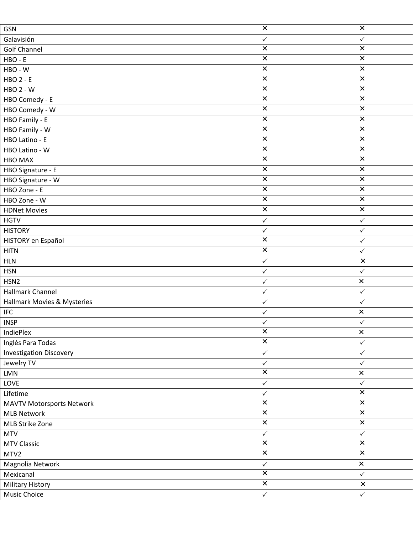| GSN                              | $\overline{\mathbf{x}}$ | $\overline{\mathsf{x}}$ |
|----------------------------------|-------------------------|-------------------------|
| Galavisión                       | $\checkmark$            | $\checkmark$            |
| <b>Golf Channel</b>              | $\overline{\mathsf{x}}$ | $\overline{\mathsf{x}}$ |
| HBO - E                          | $\pmb{\times}$          | $\pmb{\times}$          |
| HBO - W                          | $\pmb{\times}$          | $\pmb{\times}$          |
| <b>HBO 2 - E</b>                 | $\overline{\mathsf{x}}$ | $\overline{\mathsf{x}}$ |
| <b>HBO 2 - W</b>                 | $\overline{\mathbf{x}}$ | $\overline{\mathbf{x}}$ |
| HBO Comedy - E                   | $\overline{\mathbf{x}}$ | $\overline{\mathsf{x}}$ |
| HBO Comedy - W                   | $\pmb{\times}$          | $\overline{\mathbf{x}}$ |
| HBO Family - E                   | $\overline{\mathsf{x}}$ | $\overline{\mathsf{x}}$ |
| HBO Family - W                   | $\overline{\mathbf{x}}$ | $\overline{\mathbf{x}}$ |
| HBO Latino - E                   | $\pmb{\times}$          | $\times$                |
| HBO Latino - W                   | $\overline{\mathbf{x}}$ | $\overline{\mathbf{x}}$ |
| <b>HBO MAX</b>                   | $\overline{\mathsf{x}}$ | $\overline{\mathsf{x}}$ |
| HBO Signature - E                | $\pmb{\times}$          | $\pmb{\times}$          |
| HBO Signature - W                | $\overline{\mathbf{x}}$ | $\overline{\mathbf{x}}$ |
| HBO Zone - E                     | $\overline{\mathsf{x}}$ | $\overline{\mathbf{x}}$ |
| HBO Zone - W                     | $\overline{\mathsf{x}}$ | $\overline{\mathsf{x}}$ |
| <b>HDNet Movies</b>              | $\overline{\mathsf{x}}$ | $\overline{\mathsf{x}}$ |
| <b>HGTV</b>                      | $\checkmark$            | $\checkmark$            |
| <b>HISTORY</b>                   | $\checkmark$            | $\checkmark$            |
| HISTORY en Español               | $\overline{\mathsf{x}}$ | $\checkmark$            |
| <b>HITN</b>                      | $\overline{\mathbf{x}}$ | $\checkmark$            |
| <b>HLN</b>                       | $\checkmark$            | $\pmb{\times}$          |
| <b>HSN</b>                       | $\checkmark$            | $\checkmark$            |
| HSN <sub>2</sub>                 | $\checkmark$            | $\pmb{\times}$          |
| Hallmark Channel                 | $\checkmark$            | $\checkmark$            |
| Hallmark Movies & Mysteries      | $\checkmark$            | $\checkmark$            |
| <b>IFC</b>                       | $\checkmark$            | $\pmb{\times}$          |
| <b>INSP</b>                      | $\checkmark$            | $\checkmark$            |
| IndiePlex                        | $\overline{\mathbf{x}}$ | $\pmb{\times}$          |
| Inglés Para Todas                | $\overline{\mathsf{x}}$ | $\checkmark$            |
| <b>Investigation Discovery</b>   | $\checkmark$            | $\checkmark$            |
| Jewelry TV                       | $\checkmark$            | $\checkmark$            |
| LMN                              | $\overline{\mathsf{x}}$ | $\pmb{\times}$          |
| LOVE                             | $\checkmark$            | $\checkmark$            |
| Lifetime                         | $\checkmark$            | $\overline{\mathsf{x}}$ |
| <b>MAVTV Motorsports Network</b> | $\overline{\mathbf{x}}$ | $\overline{\mathbf{x}}$ |
| <b>MLB Network</b>               | $\overline{\mathsf{x}}$ | $\overline{\mathsf{x}}$ |
| MLB Strike Zone                  | $\overline{\mathsf{x}}$ | $\overline{\mathsf{x}}$ |
| <b>MTV</b>                       | $\checkmark$            | $\checkmark$            |
| <b>MTV Classic</b>               | $\overline{\mathsf{x}}$ | $\overline{\mathsf{x}}$ |
| MTV2                             | $\overline{\mathsf{x}}$ | $\overline{\mathbf{x}}$ |
| Magnolia Network                 | $\checkmark$            | $\pmb{\times}$          |
| Mexicanal                        | $\overline{\mathsf{x}}$ | $\checkmark$            |
| <b>Military History</b>          | $\overline{\mathsf{x}}$ | $\pmb{\times}$          |
| <b>Music Choice</b>              | $\checkmark$            | $\checkmark$            |
|                                  |                         |                         |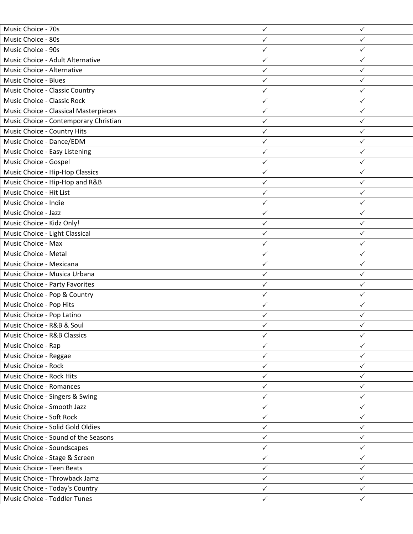| Music Choice - 70s                     | $\checkmark$ | ✓            |
|----------------------------------------|--------------|--------------|
| Music Choice - 80s                     | $\checkmark$ | $\checkmark$ |
| Music Choice - 90s                     | $\checkmark$ | $\checkmark$ |
| Music Choice - Adult Alternative       | $\checkmark$ | $\checkmark$ |
| Music Choice - Alternative             | ✓            | ✓            |
| Music Choice - Blues                   | $\checkmark$ | $\checkmark$ |
| Music Choice - Classic Country         | $\checkmark$ | $\checkmark$ |
| Music Choice - Classic Rock            | $\checkmark$ | $\checkmark$ |
| Music Choice - Classical Masterpieces  | $\checkmark$ | ✓            |
| Music Choice - Contemporary Christian  | $\checkmark$ | $\checkmark$ |
| Music Choice - Country Hits            | $\checkmark$ | $\checkmark$ |
| Music Choice - Dance/EDM               | $\checkmark$ | $\checkmark$ |
| Music Choice - Easy Listening          | $\checkmark$ | $\checkmark$ |
| Music Choice - Gospel                  | $\checkmark$ | $\checkmark$ |
| Music Choice - Hip-Hop Classics        | $\checkmark$ | $\checkmark$ |
| Music Choice - Hip-Hop and R&B         | $\checkmark$ | $\checkmark$ |
| Music Choice - Hit List                | $\checkmark$ | ✓            |
| Music Choice - Indie                   | $\checkmark$ | $\checkmark$ |
| Music Choice - Jazz                    | $\checkmark$ | $\checkmark$ |
| Music Choice - Kidz Only!              | $\checkmark$ | $\checkmark$ |
| Music Choice - Light Classical         | $\checkmark$ | $\checkmark$ |
| Music Choice - Max                     | $\checkmark$ | $\checkmark$ |
| Music Choice - Metal                   | $\checkmark$ | $\checkmark$ |
| Music Choice - Mexicana                | ✓            | ✓            |
| Music Choice - Musica Urbana           | $\checkmark$ | $\checkmark$ |
| Music Choice - Party Favorites         | $\checkmark$ | ✓            |
| Music Choice - Pop & Country           | $\checkmark$ | $\checkmark$ |
| Music Choice - Pop Hits                | ✓            | ✓            |
| Music Choice - Pop Latino              | $\checkmark$ | $\checkmark$ |
| Music Choice - R&B & Soul              |              |              |
| <b>Music Choice - R&amp;B Classics</b> | $\checkmark$ | $\checkmark$ |
| Music Choice - Rap                     | $\checkmark$ | $\checkmark$ |
| Music Choice - Reggae                  | $\checkmark$ | $\checkmark$ |
| Music Choice - Rock                    | $\checkmark$ | $\checkmark$ |
| Music Choice - Rock Hits               | $\checkmark$ | $\checkmark$ |
| <b>Music Choice - Romances</b>         | $\checkmark$ | $\checkmark$ |
| Music Choice - Singers & Swing         | $\checkmark$ | $\checkmark$ |
| Music Choice - Smooth Jazz             | $\checkmark$ | $\checkmark$ |
| Music Choice - Soft Rock               | $\checkmark$ | $\checkmark$ |
| Music Choice - Solid Gold Oldies       | $\checkmark$ | $\checkmark$ |
| Music Choice - Sound of the Seasons    | $\checkmark$ | $\checkmark$ |
| Music Choice - Soundscapes             | $\checkmark$ | $\checkmark$ |
| Music Choice - Stage & Screen          | $\checkmark$ | $\checkmark$ |
| Music Choice - Teen Beats              | $\checkmark$ | $\checkmark$ |
| Music Choice - Throwback Jamz          | $\checkmark$ | $\checkmark$ |
| Music Choice - Today's Country         | $\checkmark$ | $\checkmark$ |
| Music Choice - Toddler Tunes           | $\checkmark$ | $\checkmark$ |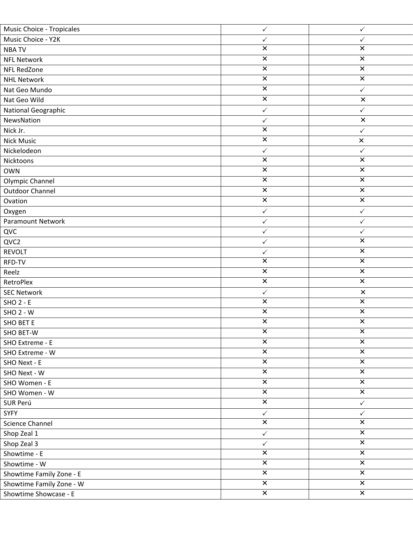| Music Choice - Tropicales | $\checkmark$            | $\checkmark$            |
|---------------------------|-------------------------|-------------------------|
| Music Choice - Y2K        | $\checkmark$            | $\checkmark$            |
| <b>NBATV</b>              | $\pmb{\times}$          | $\pmb{\times}$          |
| <b>NFL Network</b>        | $\overline{\mathsf{x}}$ | $\overline{\mathsf{x}}$ |
| NFL RedZone               | $\overline{\mathsf{x}}$ | $\overline{\mathbf{x}}$ |
| <b>NHL Network</b>        | $\pmb{\times}$          | $\pmb{\times}$          |
| Nat Geo Mundo             | $\pmb{\times}$          | $\checkmark$            |
| Nat Geo Wild              | $\overline{\mathsf{x}}$ | $\pmb{\times}$          |
| National Geographic       | $\checkmark$            | $\checkmark$            |
| NewsNation                | $\checkmark$            | $\pmb{\times}$          |
| Nick Jr.                  | $\overline{\mathsf{x}}$ | $\checkmark$            |
| <b>Nick Music</b>         | $\overline{\mathbf{x}}$ | $\pmb{\times}$          |
| Nickelodeon               | $\checkmark$            | $\checkmark$            |
| Nicktoons                 | $\pmb{\times}$          | $\pmb{\times}$          |
| <b>OWN</b>                | $\pmb{\times}$          | $\pmb{\times}$          |
| Olympic Channel           | $\overline{\mathsf{x}}$ | $\overline{\mathsf{x}}$ |
| <b>Outdoor Channel</b>    | $\overline{\mathsf{x}}$ | $\overline{\mathbf{x}}$ |
| Ovation                   | $\overline{\mathsf{x}}$ | $\overline{\mathsf{x}}$ |
| Oxygen                    | $\checkmark$            | $\checkmark$            |
| Paramount Network         | $\checkmark$            | $\checkmark$            |
| QVC                       | $\checkmark$            | $\checkmark$            |
| QVC2                      | $\checkmark$            | $\overline{\mathbf{x}}$ |
| <b>REVOLT</b>             | $\checkmark$            | $\overline{\mathbf{x}}$ |
| RFD-TV                    | $\overline{\mathsf{x}}$ | $\overline{\mathsf{x}}$ |
| Reelz                     | $\pmb{\times}$          | $\pmb{\times}$          |
| RetroPlex                 | $\overline{\mathbf{x}}$ | $\overline{\mathbf{x}}$ |
| <b>SEC Network</b>        | $\checkmark$            | $\pmb{\times}$          |
| $SHO 2 - E$               | $\overline{\mathsf{x}}$ | $\overline{\mathsf{x}}$ |
| $SHO 2 - W$               | $\pmb{\times}$          | $\pmb{\times}$          |
| <b>SHO BET E</b>          | $\overline{\mathsf{x}}$ | $\overline{\mathsf{x}}$ |
| SHO BET-W                 | $\overline{\mathsf{x}}$ | $\overline{\mathsf{x}}$ |
| SHO Extreme - E           | $\pmb{\times}$          | $\pmb{\times}$          |
| SHO Extreme - W           | $\pmb{\times}$          | $\pmb{\times}$          |
| SHO Next - E              | $\overline{\mathsf{x}}$ | $\overline{\mathsf{x}}$ |
| SHO Next - W              | $\overline{\mathsf{x}}$ | $\overline{\mathsf{x}}$ |
| SHO Women - E             | $\overline{\mathbf{x}}$ | $\overline{\mathbf{x}}$ |
| SHO Women - W             | $\overline{\mathsf{x}}$ | $\overline{\mathsf{x}}$ |
| SUR Perú                  | $\overline{\mathsf{x}}$ | $\checkmark$            |
| <b>SYFY</b>               | $\checkmark$            | $\checkmark$            |
| <b>Science Channel</b>    | $\overline{\mathsf{x}}$ | $\overline{\mathsf{x}}$ |
| Shop Zeal 1               | $\checkmark$            | $\pmb{\times}$          |
| Shop Zeal 3               | $\checkmark$            | $\overline{\mathsf{x}}$ |
| Showtime - E              | $\overline{\mathsf{x}}$ | $\overline{\mathsf{x}}$ |
| Showtime - W              | $\overline{\mathsf{x}}$ | $\overline{\mathsf{x}}$ |
| Showtime Family Zone - E  | $\overline{\mathsf{x}}$ | $\overline{\mathbf{x}}$ |
| Showtime Family Zone - W  | $\overline{\mathbf{x}}$ | $\overline{\mathbf{x}}$ |
| Showtime Showcase - E     | $\overline{\mathsf{x}}$ | $\overline{\mathsf{x}}$ |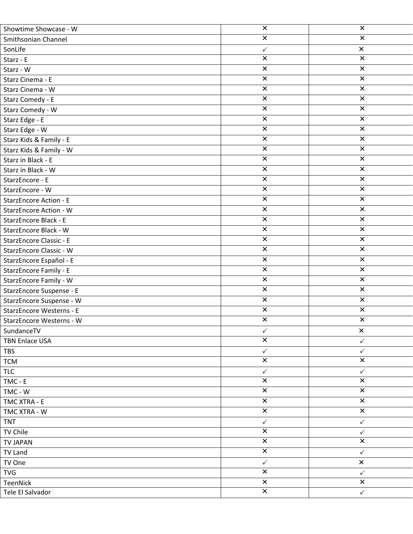| Showtime Showcase - W          | $\overline{\mathsf{x}}$   | $\overline{\mathsf{x}}$   |
|--------------------------------|---------------------------|---------------------------|
| Smithsonian Channel            | $\pmb{\times}$            | $\pmb{\times}$            |
| SonLife                        | $\checkmark$              | $\pmb{\times}$            |
| Starz - E                      | $\times$                  | $\times$                  |
| Starz - W                      | $\pmb{\times}$            | $\pmb{\times}$            |
| Starz Cinema - E               | $\overline{\mathsf{x}}$   | $\overline{\mathsf{x}}$   |
| Starz Cinema - W               | $\overline{\mathsf{x}}$   | $\overline{\mathsf{x}}$   |
| Starz Comedy - E               | $\overline{\mathsf{x}}$   | $\overline{\mathsf{x}}$   |
| Starz Comedy - W               | $\times$                  | $\boldsymbol{\mathsf{x}}$ |
| Starz Edge - E                 | $\overline{\mathsf{x}}$   | $\overline{\mathsf{x}}$   |
| Starz Edge - W                 | $\overline{\mathsf{x}}$   | $\overline{\mathsf{x}}$   |
| Starz Kids & Family - E        | $\pmb{\times}$            | $\pmb{\times}$            |
| Starz Kids & Family - W        | $\overline{\mathsf{x}}$   | $\overline{\mathsf{x}}$   |
| Starz in Black - E             | $\overline{\mathsf{x}}$   | $\overline{\mathsf{x}}$   |
| Starz in Black - W             | $\overline{\mathsf{x}}$   | $\pmb{\times}$            |
| StarzEncore - E                | $\pmb{\times}$            | $\pmb{\times}$            |
| StarzEncore - W                | $\overline{\mathsf{x}}$   | $\overline{\mathsf{x}}$   |
| <b>StarzEncore Action - E</b>  | $\overline{\mathsf{x}}$   | $\overline{\mathsf{x}}$   |
| <b>StarzEncore Action - W</b>  | $\overline{\mathsf{x}}$   | $\overline{\mathsf{x}}$   |
| <b>StarzEncore Black - E</b>   | $\overline{\mathsf{x}}$   | $\overline{\mathsf{x}}$   |
| StarzEncore Black - W          | $\overline{\mathsf{x}}$   | $\overline{\mathsf{x}}$   |
| <b>StarzEncore Classic - E</b> | $\pmb{\times}$            | $\boldsymbol{\mathsf{x}}$ |
| StarzEncore Classic - W        | $\overline{\mathsf{x}}$   | $\overline{\mathsf{x}}$   |
| StarzEncore Español - E        | $\boldsymbol{\mathsf{x}}$ | $\pmb{\times}$            |
| StarzEncore Family - E         | $\overline{\mathsf{x}}$   | $\overline{\mathsf{x}}$   |
| StarzEncore Family - W         | $\overline{\mathsf{x}}$   | $\overline{\mathsf{x}}$   |
| StarzEncore Suspense - E       | $\times$                  | $\boldsymbol{\mathsf{x}}$ |
| StarzEncore Suspense - W       | $\overline{\mathsf{x}}$   | $\pmb{\times}$            |
| StarzEncore Westerns - E       | $\overline{\mathsf{x}}$   | $\overline{\mathsf{x}}$   |
| StarzEncore Westerns - W       | $\overline{\mathsf{x}}$   | $\overline{\mathsf{x}}$   |
| SundanceTV                     | $\checkmark$              | $\pmb{\times}$            |
| <b>TBN Enlace USA</b>          | $\overline{\mathsf{x}}$   | $\checkmark$              |
| <b>TBS</b>                     | $\checkmark$              | $\checkmark$              |
| <b>TCM</b>                     | $\pmb{\times}$            | $\pmb{\times}$            |
| <b>TLC</b>                     | $\checkmark$              | $\checkmark$              |
| TMC - E                        | $\pmb{\times}$            | $\boldsymbol{\mathsf{x}}$ |
| TMC - W                        | $\times$                  | $\boldsymbol{\mathsf{x}}$ |
| TMC XTRA - E                   | $\pmb{\times}$            | $\pmb{\times}$            |
| TMC XTRA - W                   | $\overline{\mathsf{x}}$   | $\overline{\mathsf{x}}$   |
| <b>TNT</b>                     | $\checkmark$              | $\checkmark$              |
| TV Chile                       | $\pmb{\times}$            | $\checkmark$              |
| <b>TV JAPAN</b>                | $\pmb{\times}$            | $\overline{\mathsf{x}}$   |
| TV Land                        | $\overline{\mathsf{x}}$   | $\checkmark$              |
| TV One                         | $\checkmark$              | $\pmb{\times}$            |
| <b>TVG</b>                     | $\overline{\mathsf{x}}$   | $\checkmark$              |
| TeenNick                       | $\pmb{\times}$            | $\pmb{\times}$            |
| Tele El Salvador               | $\overline{\mathsf{x}}$   | $\checkmark$              |